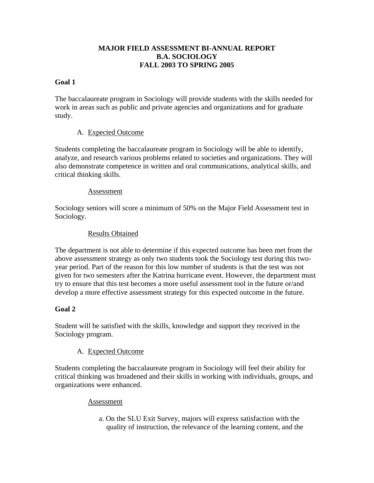# **MAJOR FIELD ASSESSMENT BI-ANNUAL REPORT B.A. SOCIOLOGY FALL 2003 TO SPRING 2005**

# **Goal 1**

The baccalaureate program in Sociology will provide students with the skills needed for work in areas such as public and private agencies and organizations and for graduate study.

## A. Expected Outcome

Students completing the baccalaureate program in Sociology will be able to identify, analyze, and research various problems related to societies and organizations. They will also demonstrate competence in written and oral communications, analytical skills, and critical thinking skills.

#### Assessment

Sociology seniors will score a minimum of 50% on the Major Field Assessment test in Sociology.

#### Results Obtained

The department is not able to determine if this expected outcome has been met from the above assessment strategy as only two students took the Sociology test during this twoyear period. Part of the reason for this low number of students is that the test was not given for two semesters after the Katrina hurricane event. However, the department must try to ensure that this test becomes a more useful assessment tool in the future or/and develop a more effective assessment strategy for this expected outcome in the future.

#### **Goal 2**

Student will be satisfied with the skills, knowledge and support they received in the Sociology program.

#### A. Expected Outcome

Students completing the baccalaureate program in Sociology will feel their ability for critical thinking was broadened and their skills in working with individuals, groups, and organizations were enhanced.

#### Assessment

 a. On the SLU Exit Survey, majors will express satisfaction with the quality of instruction, the relevance of the learning content, and the